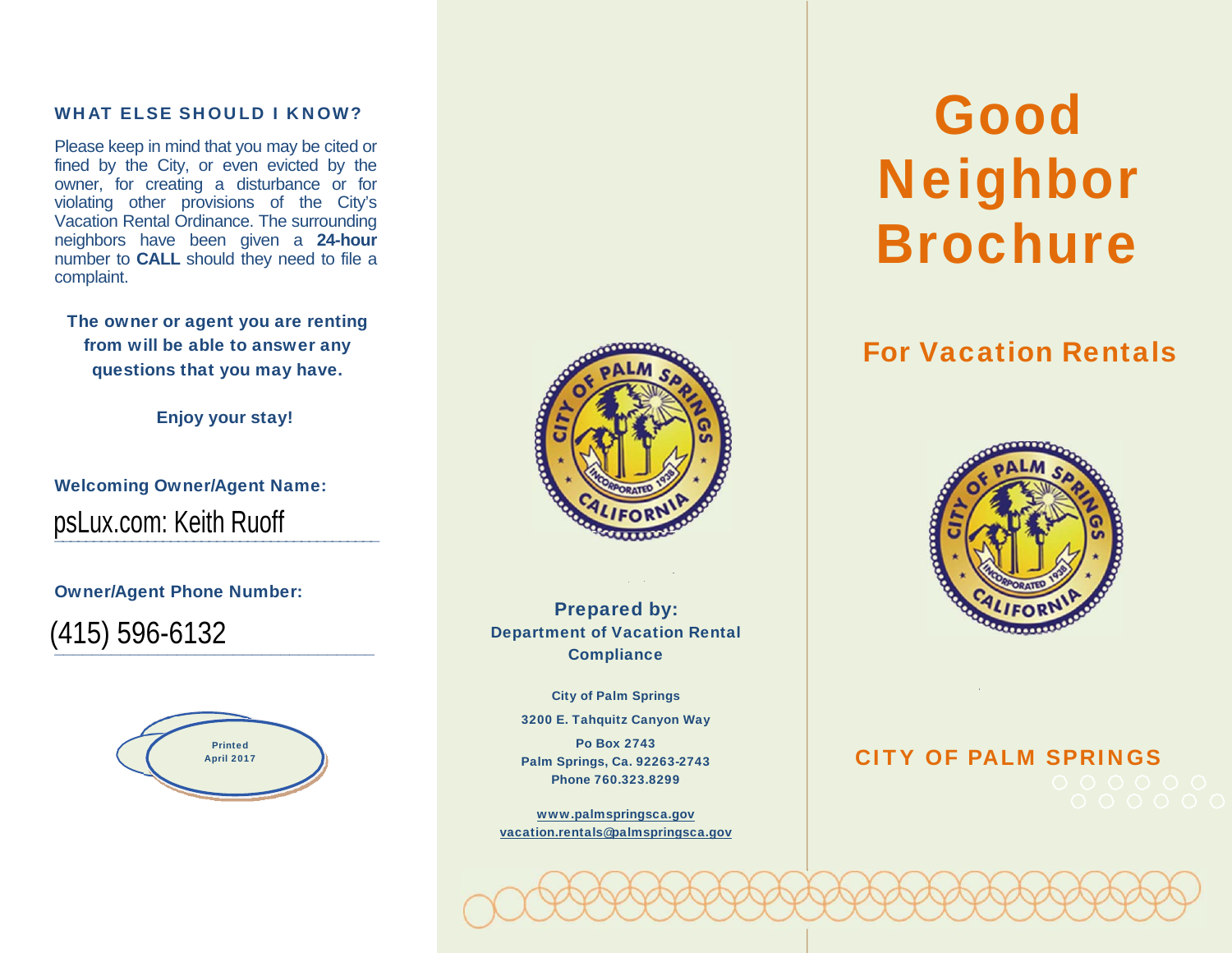#### WHAT ELSE SHOULD I KNOW?

Please keep in mind that you may be cited or fined by the City, or even evicted by the owner, for creating a disturbance or for violating other provisions of the City's Vacation Rental Ordinance. The surrounding neighbors have been given a **24-hour** number to **CALL** should they need to file a complaint.

The owner or agent you are renting from will be able to answer any questions that you may have.

Enjoy your stay!

\_\_\_\_\_\_\_\_\_\_\_\_\_\_\_\_\_\_\_\_\_\_\_\_\_\_\_\_\_\_\_\_\_\_\_\_\_\_\_\_\_\_

Welcoming Owner/Agent Name: psLux.com: Keith Ruoff

Owner/Agent Phone Number:

(415) 596-6132



\_\_\_\_\_\_\_\_\_\_\_\_\_\_\_\_\_\_\_\_\_\_\_\_\_\_\_\_\_\_\_\_\_\_



Prepared by: Department of Vacation Rental **Compliance** 

> City of Palm Springs 3200 E. Tahquitz Canyon Way

> Po Box 2743 Palm Springs, Ca. 92263-2743 Phone 760.323.8299

www.palmspringsca.gov vacation.rentals@palmspringsca.gov

## GoodNeighbor Brochure

### For Vacation Rentals



# CITY OF PALM SPRINGS